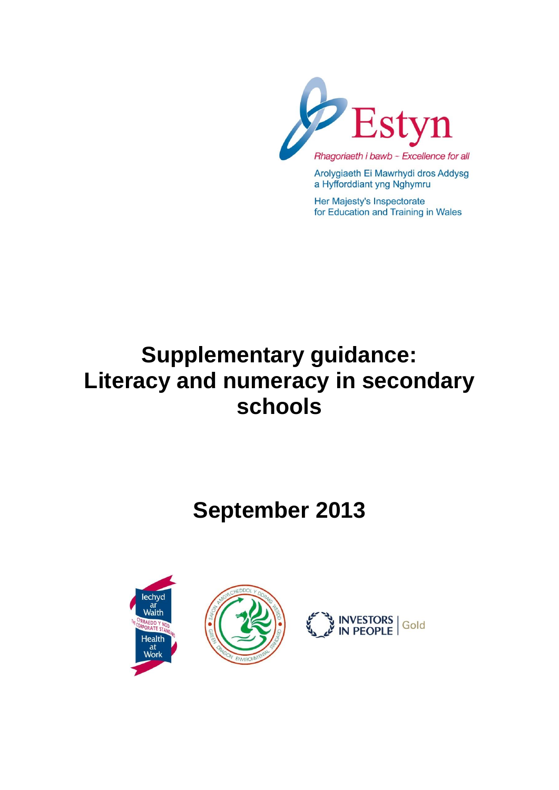

Arolygiaeth Ei Mawrhydi dros Addysg a Hyfforddiant yng Nghymru

Her Majesty's Inspectorate for Education and Training in Wales

# **Supplementary guidance: Literacy and numeracy in secondary schools**

# **September 2013**





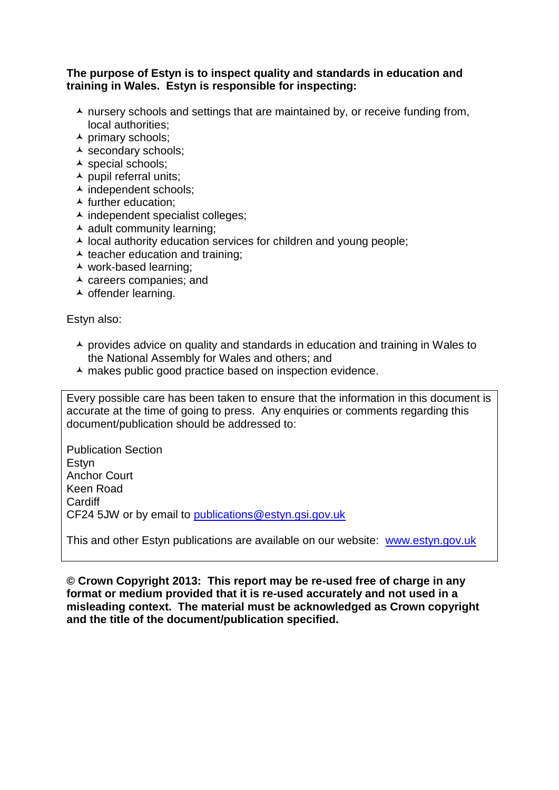#### **The purpose of Estyn is to inspect quality and standards in education and training in Wales. Estyn is responsible for inspecting:**

- $\lambda$  nursery schools and settings that are maintained by, or receive funding from, local authorities;
- $\overline{\phantom{a}}$  primary schools;
- ▲ secondary schools;
- $\overline{\phantom{a}}$  special schools;
- $\blacktriangle$  pupil referral units;
- $\overline{\phantom{a}}$  independent schools;
- $\blacktriangle$  further education:
- $\overline{\phantom{a}}$  independent specialist colleges;
- $\triangle$  adult community learning:
- $\lambda$  local authority education services for children and young people;
- $\triangle$  teacher education and training;
- work-based learning;
- $\overline{\phantom{a}}$  careers companies; and
- $\overline{\phantom{a}}$  offender learning.

Estyn also:

- $\triangle$  provides advice on quality and standards in education and training in Wales to the National Assembly for Wales and others; and
- A makes public good practice based on inspection evidence.

Every possible care has been taken to ensure that the information in this document is accurate at the time of going to press. Any enquiries or comments regarding this document/publication should be addressed to:

Publication Section Estyn Anchor Court Keen Road Cardiff CF24 5JW or by email to [publications@estyn.gsi.gov.uk](mailto:publications@estyn.gsi.gov.uk)

This and other Estyn publications are available on our website: [www.estyn.gov.uk](http://www.estyn.gov.uk/)

**© Crown Copyright 2013: This report may be re-used free of charge in any format or medium provided that it is re-used accurately and not used in a misleading context. The material must be acknowledged as Crown copyright and the title of the document/publication specified.**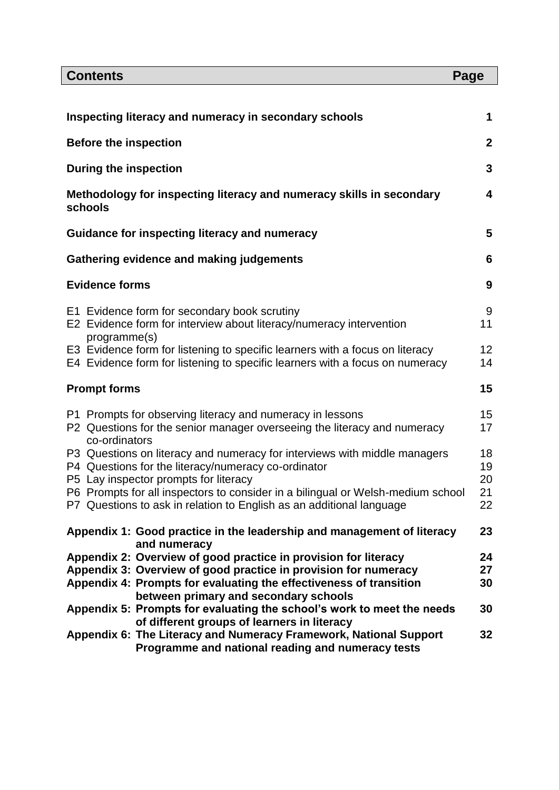| <b>Contents</b>                                                                                                                                                                                                                                              | Page                 |
|--------------------------------------------------------------------------------------------------------------------------------------------------------------------------------------------------------------------------------------------------------------|----------------------|
|                                                                                                                                                                                                                                                              |                      |
| Inspecting literacy and numeracy in secondary schools                                                                                                                                                                                                        | 1                    |
| <b>Before the inspection</b>                                                                                                                                                                                                                                 | $\mathbf 2$          |
| <b>During the inspection</b>                                                                                                                                                                                                                                 | 3                    |
| Methodology for inspecting literacy and numeracy skills in secondary<br>schools                                                                                                                                                                              | 4                    |
| Guidance for inspecting literacy and numeracy                                                                                                                                                                                                                | 5                    |
| Gathering evidence and making judgements                                                                                                                                                                                                                     | 6                    |
| <b>Evidence forms</b>                                                                                                                                                                                                                                        | 9                    |
| E1 Evidence form for secondary book scrutiny<br>E2 Evidence form for interview about literacy/numeracy intervention<br>programme(s)                                                                                                                          | 9<br>11              |
| E3 Evidence form for listening to specific learners with a focus on literacy<br>E4 Evidence form for listening to specific learners with a focus on numeracy                                                                                                 | 12<br>14             |
| <b>Prompt forms</b>                                                                                                                                                                                                                                          | 15                   |
| P1 Prompts for observing literacy and numeracy in lessons<br>P2 Questions for the senior manager overseeing the literacy and numeracy<br>co-ordinators                                                                                                       | 15<br>17             |
| P3 Questions on literacy and numeracy for interviews with middle managers<br>P4 Questions for the literacy/numeracy co-ordinator<br>P5 Lay inspector prompts for literacy<br>P6 Prompts for all inspectors to consider in a bilingual or Welsh-medium school | 18<br>19<br>20<br>21 |
| P7 Questions to ask in relation to English as an additional language                                                                                                                                                                                         | 22                   |
| Appendix 1: Good practice in the leadership and management of literacy<br>and numeracy                                                                                                                                                                       | 23                   |
| Appendix 2: Overview of good practice in provision for literacy<br>Appendix 3: Overview of good practice in provision for numeracy<br>Appendix 4: Prompts for evaluating the effectiveness of transition<br>between primary and secondary schools            | 24<br>27<br>30       |
| Appendix 5: Prompts for evaluating the school's work to meet the needs<br>of different groups of learners in literacy                                                                                                                                        | 30                   |
| Appendix 6: The Literacy and Numeracy Framework, National Support<br>Programme and national reading and numeracy tests                                                                                                                                       | 32                   |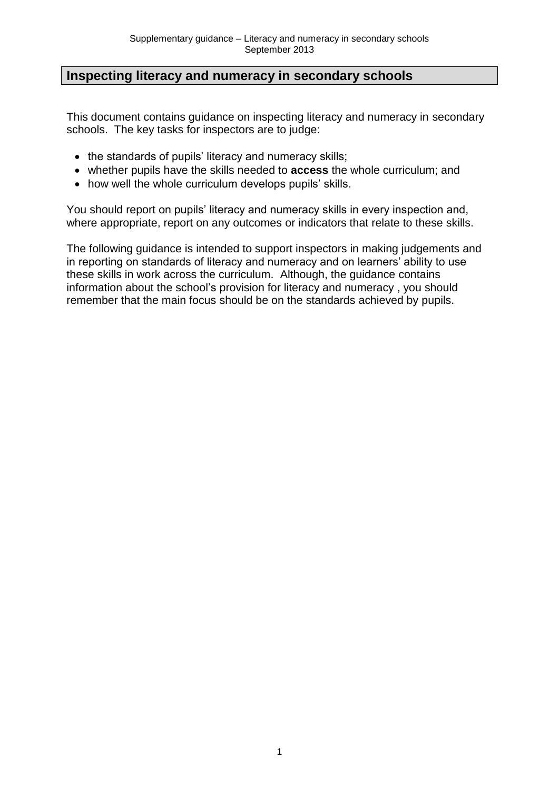## **Inspecting literacy and numeracy in secondary schools**

This document contains guidance on inspecting literacy and numeracy in secondary schools. The key tasks for inspectors are to judge:

- the standards of pupils' literacy and numeracy skills;
- whether pupils have the skills needed to **access** the whole curriculum; and
- how well the whole curriculum develops pupils' skills.

You should report on pupils' literacy and numeracy skills in every inspection and, where appropriate, report on any outcomes or indicators that relate to these skills.

The following guidance is intended to support inspectors in making judgements and in reporting on standards of literacy and numeracy and on learners' ability to use these skills in work across the curriculum. Although, the guidance contains information about the school's provision for literacy and numeracy , you should remember that the main focus should be on the standards achieved by pupils.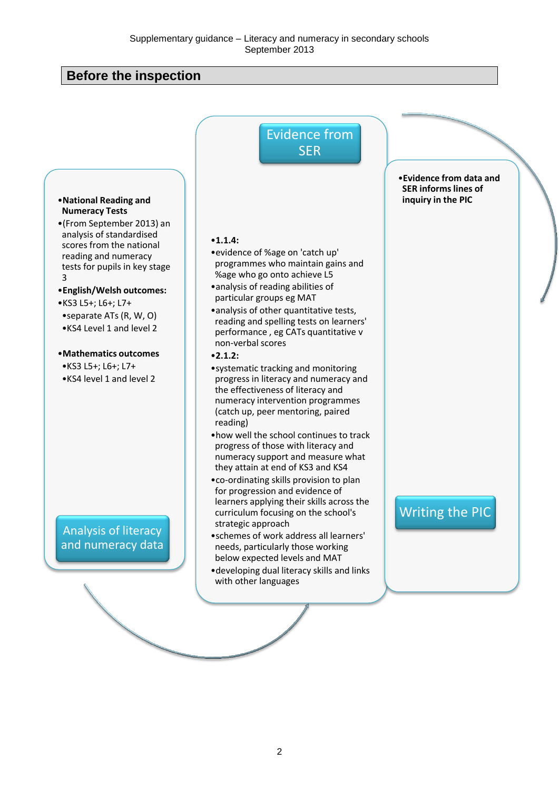## **Before the inspection**

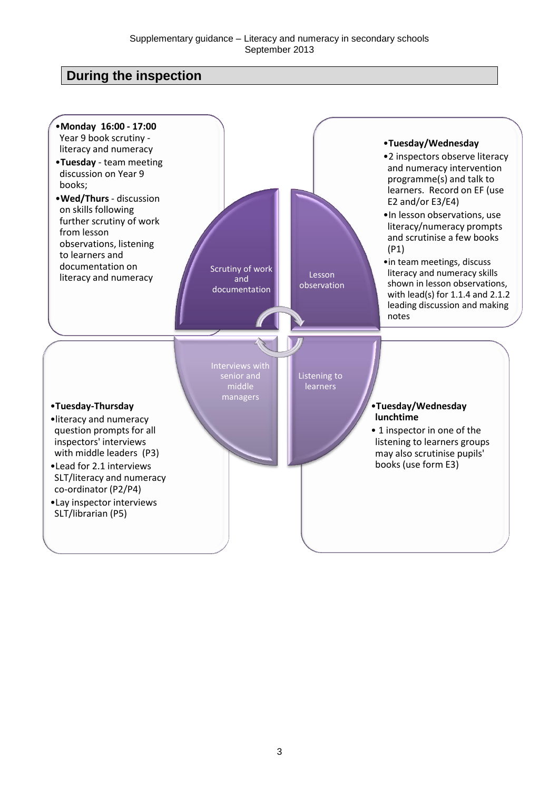## **During the inspection**

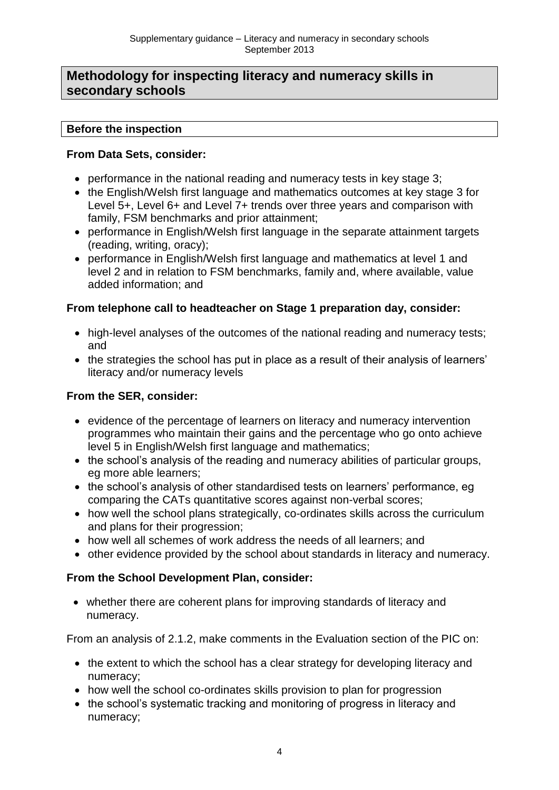## **Methodology for inspecting literacy and numeracy skills in secondary schools**

#### **Before the inspection**

#### **From Data Sets, consider:**

- performance in the national reading and numeracy tests in key stage 3;
- the English/Welsh first language and mathematics outcomes at key stage 3 for Level 5+, Level 6+ and Level 7+ trends over three years and comparison with family, FSM benchmarks and prior attainment;
- performance in English/Welsh first language in the separate attainment targets (reading, writing, oracy);
- performance in English/Welsh first language and mathematics at level 1 and level 2 and in relation to FSM benchmarks, family and, where available, value added information; and

#### **From telephone call to headteacher on Stage 1 preparation day, consider:**

- high-level analyses of the outcomes of the national reading and numeracy tests; and
- the strategies the school has put in place as a result of their analysis of learners' literacy and/or numeracy levels

#### **From the SER, consider:**

- evidence of the percentage of learners on literacy and numeracy intervention programmes who maintain their gains and the percentage who go onto achieve level 5 in English/Welsh first language and mathematics;
- the school's analysis of the reading and numeracy abilities of particular groups, eg more able learners;
- the school's analysis of other standardised tests on learners' performance, eg comparing the CATs quantitative scores against non-verbal scores;
- how well the school plans strategically, co-ordinates skills across the curriculum and plans for their progression;
- how well all schemes of work address the needs of all learners; and
- other evidence provided by the school about standards in literacy and numeracy.

#### **From the School Development Plan, consider:**

 whether there are coherent plans for improving standards of literacy and numeracy.

From an analysis of 2.1.2, make comments in the Evaluation section of the PIC on:

- the extent to which the school has a clear strategy for developing literacy and numeracy;
- how well the school co-ordinates skills provision to plan for progression
- the school's systematic tracking and monitoring of progress in literacy and numeracy;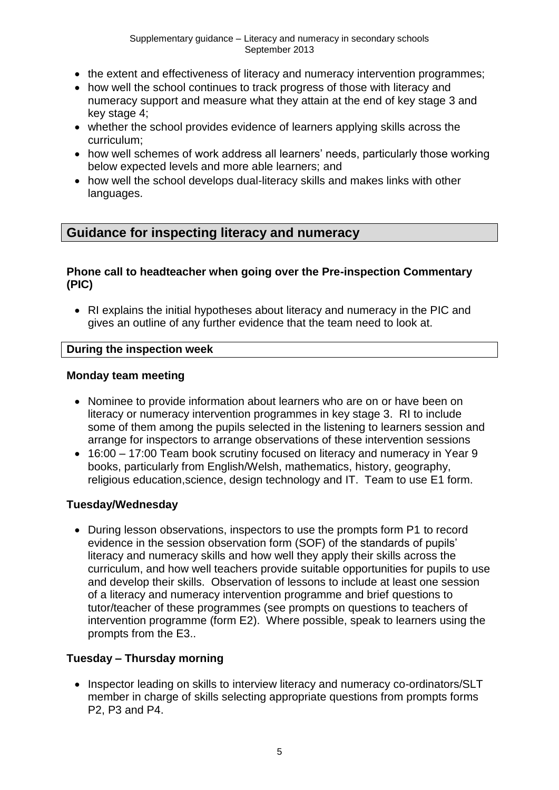- the extent and effectiveness of literacy and numeracy intervention programmes;
- how well the school continues to track progress of those with literacy and numeracy support and measure what they attain at the end of key stage 3 and key stage 4;
- whether the school provides evidence of learners applying skills across the curriculum;
- how well schemes of work address all learners' needs, particularly those working below expected levels and more able learners; and
- how well the school develops dual-literacy skills and makes links with other languages.

## **Guidance for inspecting literacy and numeracy**

#### **Phone call to headteacher when going over the Pre-inspection Commentary (PIC)**

 RI explains the initial hypotheses about literacy and numeracy in the PIC and gives an outline of any further evidence that the team need to look at.

#### **During the inspection week**

#### **Monday team meeting**

- Nominee to provide information about learners who are on or have been on literacy or numeracy intervention programmes in key stage 3. RI to include some of them among the pupils selected in the listening to learners session and arrange for inspectors to arrange observations of these intervention sessions
- 16:00 17:00 Team book scrutiny focused on literacy and numeracy in Year 9 books, particularly from English/Welsh, mathematics, history, geography, religious education,science, design technology and IT. Team to use E1 form.

#### **Tuesday/Wednesday**

 During lesson observations, inspectors to use the prompts form P1 to record evidence in the session observation form (SOF) of the standards of pupils' literacy and numeracy skills and how well they apply their skills across the curriculum, and how well teachers provide suitable opportunities for pupils to use and develop their skills. Observation of lessons to include at least one session of a literacy and numeracy intervention programme and brief questions to tutor/teacher of these programmes (see prompts on questions to teachers of intervention programme (form E2). Where possible, speak to learners using the prompts from the E3..

#### **Tuesday – Thursday morning**

• Inspector leading on skills to interview literacy and numeracy co-ordinators/SLT member in charge of skills selecting appropriate questions from prompts forms P2, P3 and P4.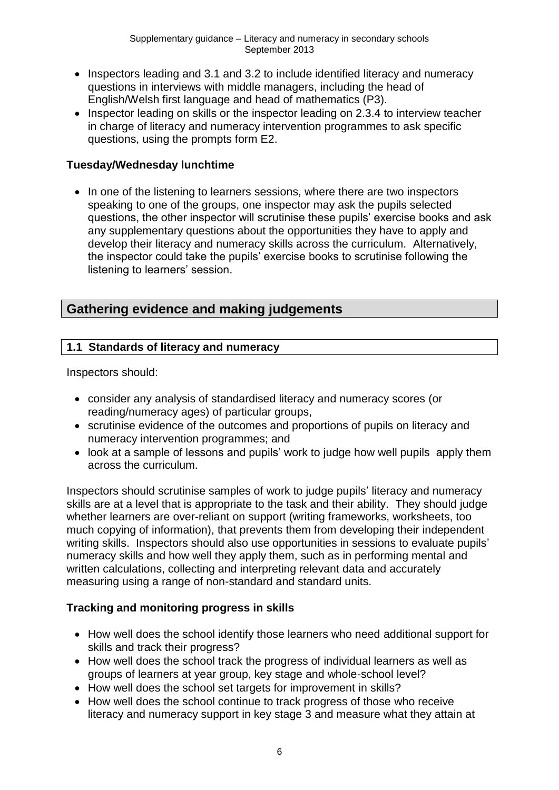- Inspectors leading and 3.1 and 3.2 to include identified literacy and numeracy questions in interviews with middle managers, including the head of English/Welsh first language and head of mathematics (P3).
- Inspector leading on skills or the inspector leading on 2.3.4 to interview teacher in charge of literacy and numeracy intervention programmes to ask specific questions, using the prompts form E2.

#### **Tuesday/Wednesday lunchtime**

• In one of the listening to learners sessions, where there are two inspectors speaking to one of the groups, one inspector may ask the pupils selected questions, the other inspector will scrutinise these pupils' exercise books and ask any supplementary questions about the opportunities they have to apply and develop their literacy and numeracy skills across the curriculum. Alternatively, the inspector could take the pupils' exercise books to scrutinise following the listening to learners' session.

## **Gathering evidence and making judgements**

## **1.1 Standards of literacy and numeracy**

Inspectors should:

- consider any analysis of standardised literacy and numeracy scores (or reading/numeracy ages) of particular groups,
- scrutinise evidence of the outcomes and proportions of pupils on literacy and numeracy intervention programmes; and
- look at a sample of lessons and pupils' work to judge how well pupils apply them across the curriculum.

Inspectors should scrutinise samples of work to judge pupils' literacy and numeracy skills are at a level that is appropriate to the task and their ability. They should judge whether learners are over-reliant on support (writing frameworks, worksheets, too much copying of information), that prevents them from developing their independent writing skills. Inspectors should also use opportunities in sessions to evaluate pupils' numeracy skills and how well they apply them, such as in performing mental and written calculations, collecting and interpreting relevant data and accurately measuring using a range of non-standard and standard units.

## **Tracking and monitoring progress in skills**

- How well does the school identify those learners who need additional support for skills and track their progress?
- How well does the school track the progress of individual learners as well as groups of learners at year group, key stage and whole-school level?
- How well does the school set targets for improvement in skills?
- How well does the school continue to track progress of those who receive literacy and numeracy support in key stage 3 and measure what they attain at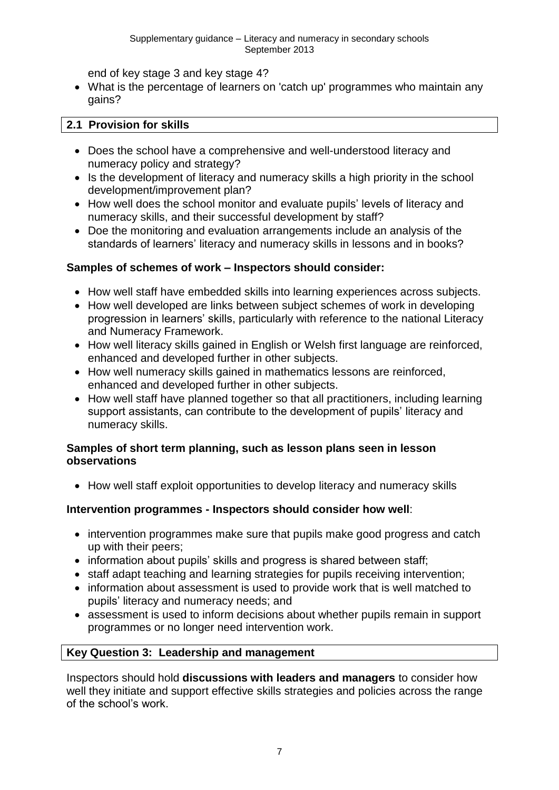end of key stage 3 and key stage 4?

 What is the percentage of learners on 'catch up' programmes who maintain any gains?

#### **2.1 Provision for skills**

- Does the school have a comprehensive and well-understood literacy and numeracy policy and strategy?
- Is the development of literacy and numeracy skills a high priority in the school development/improvement plan?
- How well does the school monitor and evaluate pupils' levels of literacy and numeracy skills, and their successful development by staff?
- Doe the monitoring and evaluation arrangements include an analysis of the standards of learners' literacy and numeracy skills in lessons and in books?

#### **Samples of schemes of work – Inspectors should consider:**

- How well staff have embedded skills into learning experiences across subjects.
- How well developed are links between subject schemes of work in developing progression in learners' skills, particularly with reference to the national Literacy and Numeracy Framework.
- How well literacy skills gained in English or Welsh first language are reinforced, enhanced and developed further in other subjects.
- How well numeracy skills gained in mathematics lessons are reinforced, enhanced and developed further in other subjects.
- How well staff have planned together so that all practitioners, including learning support assistants, can contribute to the development of pupils' literacy and numeracy skills.

#### **Samples of short term planning, such as lesson plans seen in lesson observations**

• How well staff exploit opportunities to develop literacy and numeracy skills

#### **Intervention programmes - Inspectors should consider how well**:

- intervention programmes make sure that pupils make good progress and catch up with their peers;
- information about pupils' skills and progress is shared between staff:
- staff adapt teaching and learning strategies for pupils receiving intervention;
- information about assessment is used to provide work that is well matched to pupils' literacy and numeracy needs; and
- assessment is used to inform decisions about whether pupils remain in support programmes or no longer need intervention work.

#### **Key Question 3: Leadership and management**

Inspectors should hold **discussions with leaders and managers** to consider how well they initiate and support effective skills strategies and policies across the range of the school's work.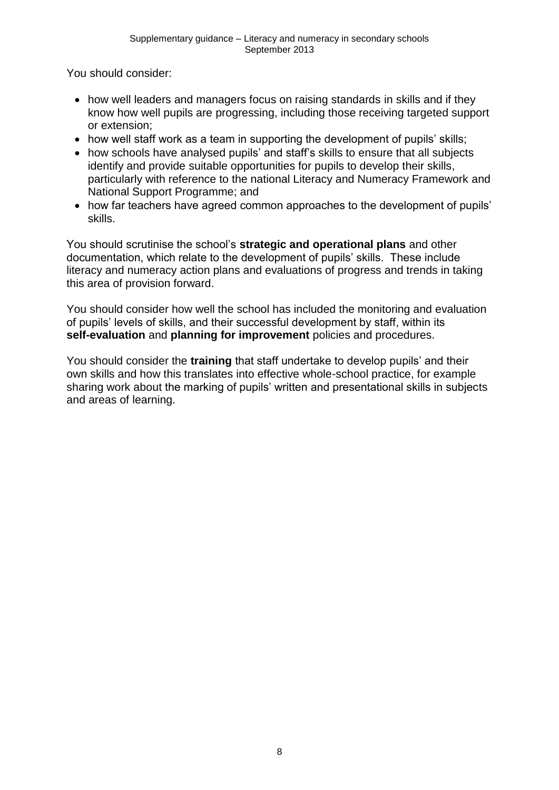You should consider:

- how well leaders and managers focus on raising standards in skills and if they know how well pupils are progressing, including those receiving targeted support or extension;
- how well staff work as a team in supporting the development of pupils' skills;
- how schools have analysed pupils' and staff's skills to ensure that all subjects identify and provide suitable opportunities for pupils to develop their skills, particularly with reference to the national Literacy and Numeracy Framework and National Support Programme; and
- how far teachers have agreed common approaches to the development of pupils' skills.

You should scrutinise the school's **strategic and operational plans** and other documentation, which relate to the development of pupils' skills. These include literacy and numeracy action plans and evaluations of progress and trends in taking this area of provision forward.

You should consider how well the school has included the monitoring and evaluation of pupils' levels of skills, and their successful development by staff, within its **self-evaluation** and **planning for improvement** policies and procedures.

You should consider the **training** that staff undertake to develop pupils' and their own skills and how this translates into effective whole-school practice, for example sharing work about the marking of pupils' written and presentational skills in subjects and areas of learning.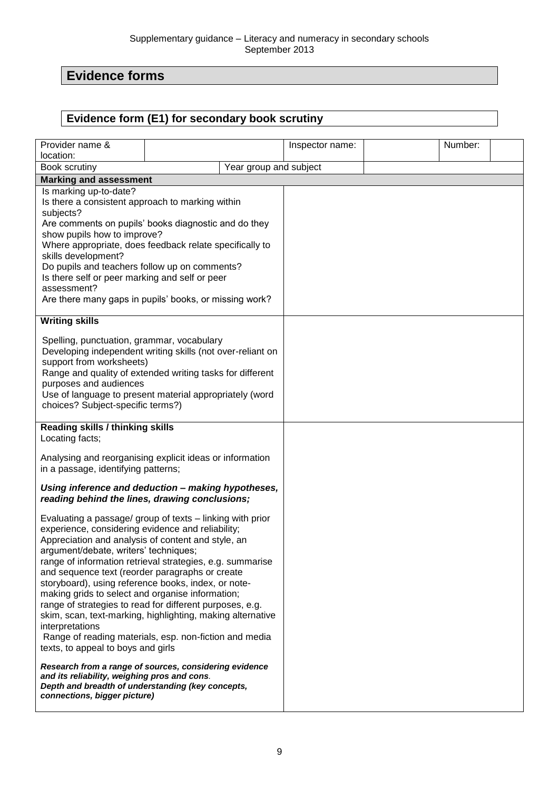# **Evidence forms**

## **Evidence form (E1) for secondary book scrutiny**

| Provider name &                                                                                          |  |                        | Inspector name: | Number: |  |
|----------------------------------------------------------------------------------------------------------|--|------------------------|-----------------|---------|--|
| location:                                                                                                |  |                        |                 |         |  |
| Book scrutiny                                                                                            |  | Year group and subject |                 |         |  |
| <b>Marking and assessment</b>                                                                            |  |                        |                 |         |  |
| Is marking up-to-date?                                                                                   |  |                        |                 |         |  |
| Is there a consistent approach to marking within<br>subjects?                                            |  |                        |                 |         |  |
| Are comments on pupils' books diagnostic and do they                                                     |  |                        |                 |         |  |
| show pupils how to improve?                                                                              |  |                        |                 |         |  |
| Where appropriate, does feedback relate specifically to                                                  |  |                        |                 |         |  |
| skills development?                                                                                      |  |                        |                 |         |  |
| Do pupils and teachers follow up on comments?                                                            |  |                        |                 |         |  |
| Is there self or peer marking and self or peer                                                           |  |                        |                 |         |  |
| assessment?                                                                                              |  |                        |                 |         |  |
| Are there many gaps in pupils' books, or missing work?                                                   |  |                        |                 |         |  |
| <b>Writing skills</b>                                                                                    |  |                        |                 |         |  |
|                                                                                                          |  |                        |                 |         |  |
| Spelling, punctuation, grammar, vocabulary<br>Developing independent writing skills (not over-reliant on |  |                        |                 |         |  |
| support from worksheets)                                                                                 |  |                        |                 |         |  |
| Range and quality of extended writing tasks for different                                                |  |                        |                 |         |  |
| purposes and audiences                                                                                   |  |                        |                 |         |  |
| Use of language to present material appropriately (word                                                  |  |                        |                 |         |  |
| choices? Subject-specific terms?)                                                                        |  |                        |                 |         |  |
| <b>Reading skills / thinking skills</b>                                                                  |  |                        |                 |         |  |
| Locating facts;                                                                                          |  |                        |                 |         |  |
| Analysing and reorganising explicit ideas or information                                                 |  |                        |                 |         |  |
| in a passage, identifying patterns;                                                                      |  |                        |                 |         |  |
|                                                                                                          |  |                        |                 |         |  |
| Using inference and deduction - making hypotheses,<br>reading behind the lines, drawing conclusions;     |  |                        |                 |         |  |
| Evaluating a passage/ group of texts - linking with prior                                                |  |                        |                 |         |  |
| experience, considering evidence and reliability;                                                        |  |                        |                 |         |  |
| Appreciation and analysis of content and style, an                                                       |  |                        |                 |         |  |
| argument/debate, writers' techniques;                                                                    |  |                        |                 |         |  |
| range of information retrieval strategies, e.g. summarise                                                |  |                        |                 |         |  |
| and sequence text (reorder paragraphs or create                                                          |  |                        |                 |         |  |
| storyboard), using reference books, index, or note-                                                      |  |                        |                 |         |  |
| making grids to select and organise information;                                                         |  |                        |                 |         |  |
| range of strategies to read for different purposes, e.g.                                                 |  |                        |                 |         |  |
| skim, scan, text-marking, highlighting, making alternative                                               |  |                        |                 |         |  |
| interpretations<br>Range of reading materials, esp. non-fiction and media                                |  |                        |                 |         |  |
| texts, to appeal to boys and girls                                                                       |  |                        |                 |         |  |
|                                                                                                          |  |                        |                 |         |  |
| Research from a range of sources, considering evidence<br>and its reliability, weighing pros and cons.   |  |                        |                 |         |  |
| Depth and breadth of understanding (key concepts,                                                        |  |                        |                 |         |  |
| connections, bigger picture)                                                                             |  |                        |                 |         |  |
|                                                                                                          |  |                        |                 |         |  |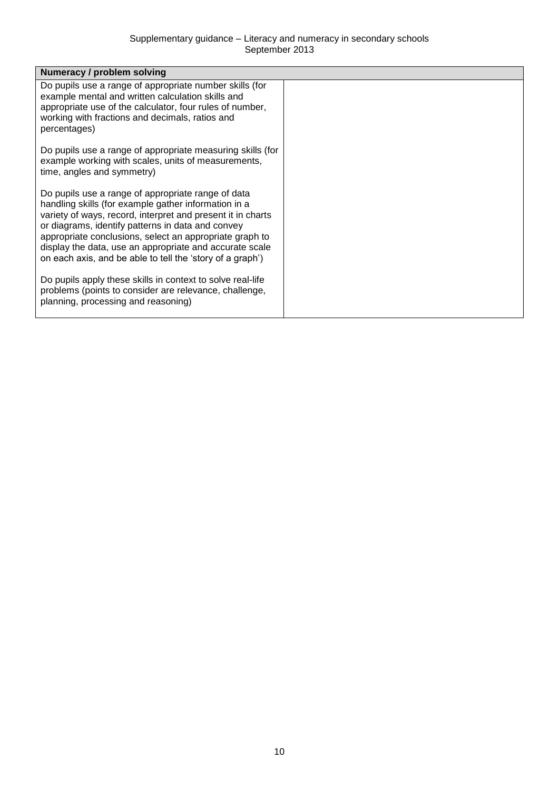| Numeracy / problem solving                                                                                                                                                                                                                                                                                                                                                                                        |  |
|-------------------------------------------------------------------------------------------------------------------------------------------------------------------------------------------------------------------------------------------------------------------------------------------------------------------------------------------------------------------------------------------------------------------|--|
| Do pupils use a range of appropriate number skills (for<br>example mental and written calculation skills and<br>appropriate use of the calculator, four rules of number,<br>working with fractions and decimals, ratios and<br>percentages)                                                                                                                                                                       |  |
| Do pupils use a range of appropriate measuring skills (for<br>example working with scales, units of measurements,<br>time, angles and symmetry)                                                                                                                                                                                                                                                                   |  |
| Do pupils use a range of appropriate range of data<br>handling skills (for example gather information in a<br>variety of ways, record, interpret and present it in charts<br>or diagrams, identify patterns in data and convey<br>appropriate conclusions, select an appropriate graph to<br>display the data, use an appropriate and accurate scale<br>on each axis, and be able to tell the 'story of a graph') |  |
| Do pupils apply these skills in context to solve real-life<br>problems (points to consider are relevance, challenge,<br>planning, processing and reasoning)                                                                                                                                                                                                                                                       |  |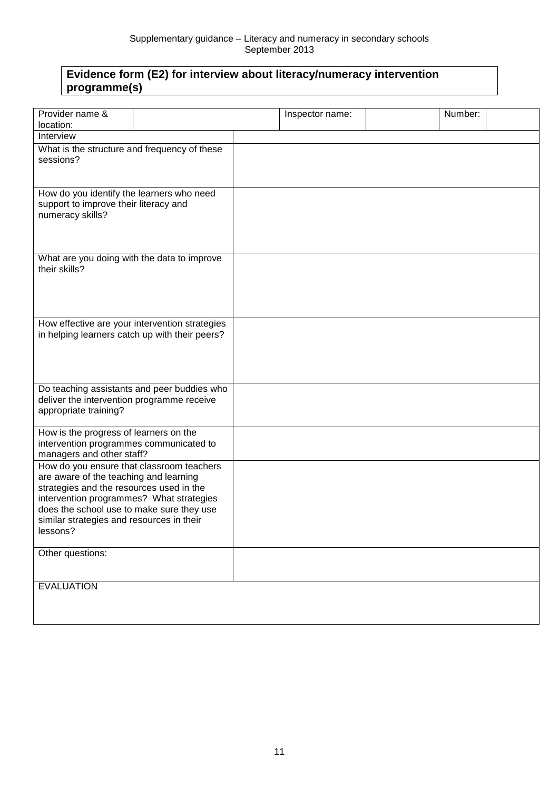## **Evidence form (E2) for interview about literacy/numeracy intervention programme(s)**

| Provider name &                                                        |                                                | Inspector name: | Number: |
|------------------------------------------------------------------------|------------------------------------------------|-----------------|---------|
| location:                                                              |                                                |                 |         |
| Interview                                                              |                                                |                 |         |
| What is the structure and frequency of these                           |                                                |                 |         |
| sessions?                                                              |                                                |                 |         |
|                                                                        |                                                |                 |         |
|                                                                        |                                                |                 |         |
| How do you identify the learners who need                              |                                                |                 |         |
| support to improve their literacy and                                  |                                                |                 |         |
| numeracy skills?                                                       |                                                |                 |         |
|                                                                        |                                                |                 |         |
|                                                                        |                                                |                 |         |
| What are you doing with the data to improve                            |                                                |                 |         |
| their skills?                                                          |                                                |                 |         |
|                                                                        |                                                |                 |         |
|                                                                        |                                                |                 |         |
|                                                                        |                                                |                 |         |
|                                                                        |                                                |                 |         |
|                                                                        | How effective are your intervention strategies |                 |         |
|                                                                        | in helping learners catch up with their peers? |                 |         |
|                                                                        |                                                |                 |         |
|                                                                        |                                                |                 |         |
|                                                                        |                                                |                 |         |
|                                                                        | Do teaching assistants and peer buddies who    |                 |         |
| deliver the intervention programme receive                             |                                                |                 |         |
| appropriate training?                                                  |                                                |                 |         |
|                                                                        |                                                |                 |         |
| How is the progress of learners on the                                 |                                                |                 |         |
| intervention programmes communicated to                                |                                                |                 |         |
| managers and other staff?<br>How do you ensure that classroom teachers |                                                |                 |         |
| are aware of the teaching and learning                                 |                                                |                 |         |
| strategies and the resources used in the                               |                                                |                 |         |
| intervention programmes? What strategies                               |                                                |                 |         |
| does the school use to make sure they use                              |                                                |                 |         |
| similar strategies and resources in their                              |                                                |                 |         |
| lessons?                                                               |                                                |                 |         |
|                                                                        |                                                |                 |         |
| Other questions:                                                       |                                                |                 |         |
|                                                                        |                                                |                 |         |
| <b>EVALUATION</b>                                                      |                                                |                 |         |
|                                                                        |                                                |                 |         |
|                                                                        |                                                |                 |         |
|                                                                        |                                                |                 |         |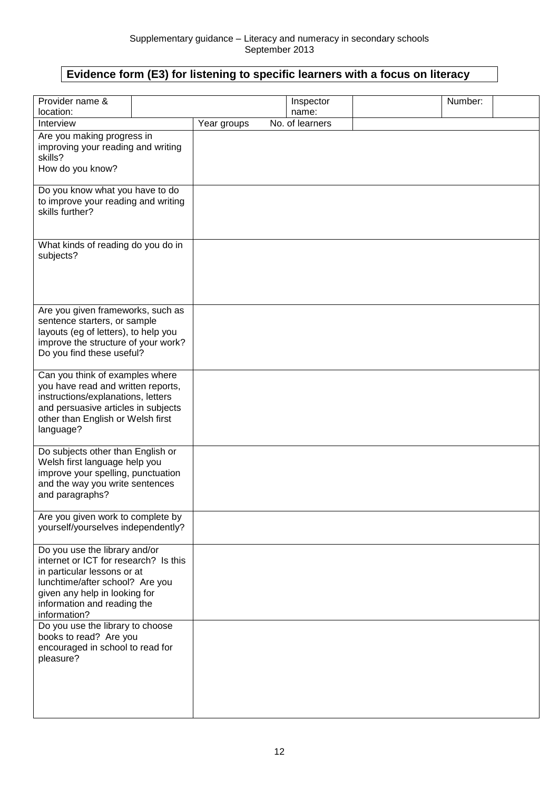## **Evidence form (E3) for listening to specific learners with a focus on literacy**

| Provider name &                                                                                                                                                                                                          |             | Inspector       | Number: |
|--------------------------------------------------------------------------------------------------------------------------------------------------------------------------------------------------------------------------|-------------|-----------------|---------|
| location:                                                                                                                                                                                                                |             | name:           |         |
| Interview                                                                                                                                                                                                                | Year groups | No. of learners |         |
| Are you making progress in<br>improving your reading and writing<br>skills?<br>How do you know?                                                                                                                          |             |                 |         |
| Do you know what you have to do<br>to improve your reading and writing<br>skills further?                                                                                                                                |             |                 |         |
| What kinds of reading do you do in<br>subjects?                                                                                                                                                                          |             |                 |         |
| Are you given frameworks, such as<br>sentence starters, or sample<br>layouts (eg of letters), to help you<br>improve the structure of your work?<br>Do you find these useful?                                            |             |                 |         |
| Can you think of examples where<br>you have read and written reports,<br>instructions/explanations, letters<br>and persuasive articles in subjects<br>other than English or Welsh first<br>language?                     |             |                 |         |
| Do subjects other than English or<br>Welsh first language help you<br>improve your spelling, punctuation<br>and the way you write sentences<br>and paragraphs?                                                           |             |                 |         |
| Are you given work to complete by<br>yourself/yourselves independently?                                                                                                                                                  |             |                 |         |
| Do you use the library and/or<br>internet or ICT for research? Is this<br>in particular lessons or at<br>lunchtime/after school? Are you<br>given any help in looking for<br>information and reading the<br>information? |             |                 |         |
| Do you use the library to choose<br>books to read? Are you<br>encouraged in school to read for<br>pleasure?                                                                                                              |             |                 |         |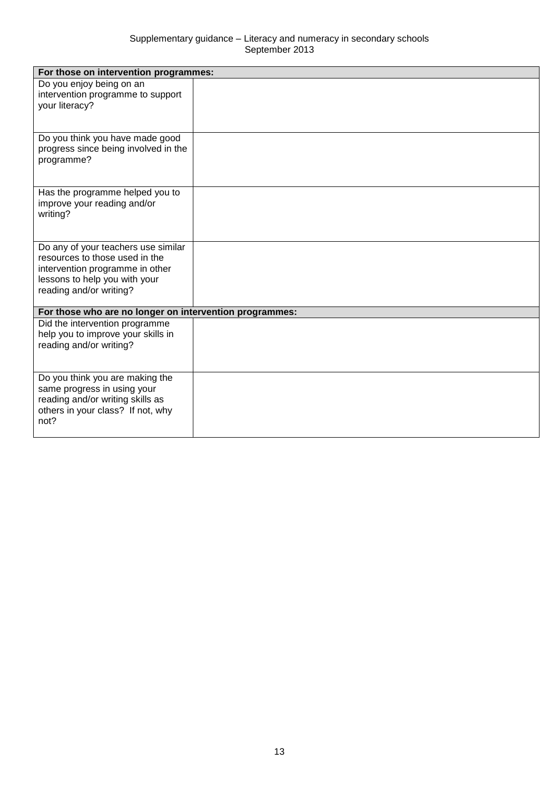| For those on intervention programmes:                                                                                                                                |  |
|----------------------------------------------------------------------------------------------------------------------------------------------------------------------|--|
| Do you enjoy being on an<br>intervention programme to support<br>your literacy?                                                                                      |  |
| Do you think you have made good<br>progress since being involved in the<br>programme?                                                                                |  |
| Has the programme helped you to<br>improve your reading and/or<br>writing?                                                                                           |  |
| Do any of your teachers use similar<br>resources to those used in the<br>intervention programme in other<br>lessons to help you with your<br>reading and/or writing? |  |
| For those who are no longer on intervention programmes:                                                                                                              |  |
| Did the intervention programme<br>help you to improve your skills in<br>reading and/or writing?                                                                      |  |
| Do you think you are making the<br>same progress in using your<br>reading and/or writing skills as<br>others in your class? If not, why<br>not?                      |  |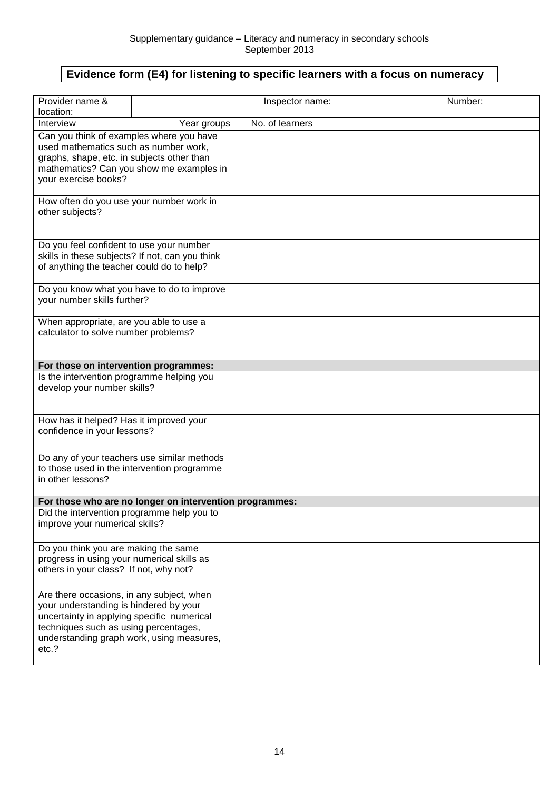## **Evidence form (E4) for listening to specific learners with a focus on numeracy**

| Provider name &                                                                                                                                                                                                                  |                                                         | Inspector name: | Number: |  |
|----------------------------------------------------------------------------------------------------------------------------------------------------------------------------------------------------------------------------------|---------------------------------------------------------|-----------------|---------|--|
| location:                                                                                                                                                                                                                        |                                                         |                 |         |  |
| Interview                                                                                                                                                                                                                        | Year groups                                             | No. of learners |         |  |
| Can you think of examples where you have<br>used mathematics such as number work,<br>graphs, shape, etc. in subjects other than<br>mathematics? Can you show me examples in<br>your exercise books?                              |                                                         |                 |         |  |
| How often do you use your number work in<br>other subjects?                                                                                                                                                                      |                                                         |                 |         |  |
| Do you feel confident to use your number<br>skills in these subjects? If not, can you think<br>of anything the teacher could do to help?                                                                                         |                                                         |                 |         |  |
| your number skills further?                                                                                                                                                                                                      | Do you know what you have to do to improve              |                 |         |  |
| When appropriate, are you able to use a<br>calculator to solve number problems?                                                                                                                                                  |                                                         |                 |         |  |
| For those on intervention programmes:                                                                                                                                                                                            |                                                         |                 |         |  |
| Is the intervention programme helping you<br>develop your number skills?                                                                                                                                                         |                                                         |                 |         |  |
| How has it helped? Has it improved your<br>confidence in your lessons?                                                                                                                                                           |                                                         |                 |         |  |
| to those used in the intervention programme<br>in other lessons?                                                                                                                                                                 | Do any of your teachers use similar methods             |                 |         |  |
|                                                                                                                                                                                                                                  | For those who are no longer on intervention programmes: |                 |         |  |
| Did the intervention programme help you to<br>improve your numerical skills?                                                                                                                                                     |                                                         |                 |         |  |
| Do you think you are making the same<br>progress in using your numerical skills as<br>others in your class? If not, why not?                                                                                                     |                                                         |                 |         |  |
| Are there occasions, in any subject, when<br>your understanding is hindered by your<br>uncertainty in applying specific numerical<br>techniques such as using percentages,<br>understanding graph work, using measures,<br>etc.? |                                                         |                 |         |  |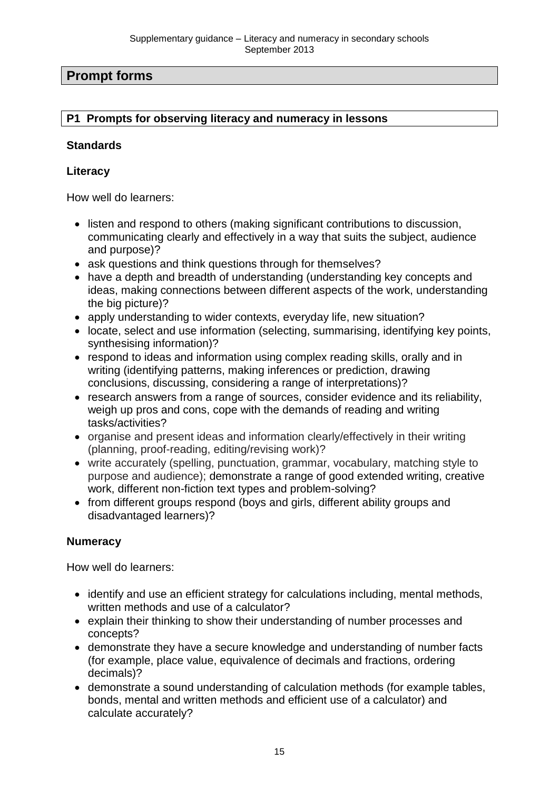## **Prompt forms**

#### **P1 Prompts for observing literacy and numeracy in lessons**

#### **Standards**

#### **Literacy**

How well do learners:

- listen and respond to others (making significant contributions to discussion, communicating clearly and effectively in a way that suits the subject, audience and purpose)?
- ask questions and think questions through for themselves?
- have a depth and breadth of understanding (understanding key concepts and ideas, making connections between different aspects of the work, understanding the big picture)?
- apply understanding to wider contexts, everyday life, new situation?
- locate, select and use information (selecting, summarising, identifying key points, synthesising information)?
- respond to ideas and information using complex reading skills, orally and in writing (identifying patterns, making inferences or prediction, drawing conclusions, discussing, considering a range of interpretations)?
- research answers from a range of sources, consider evidence and its reliability, weigh up pros and cons, cope with the demands of reading and writing tasks/activities?
- organise and present ideas and information clearly/effectively in their writing (planning, proof-reading, editing/revising work)?
- write accurately (spelling, punctuation, grammar, vocabulary, matching style to purpose and audience); demonstrate a range of good extended writing, creative work, different non-fiction text types and problem-solving?
- from different groups respond (boys and girls, different ability groups and disadvantaged learners)?

#### **Numeracy**

How well do learners:

- identify and use an efficient strategy for calculations including, mental methods, written methods and use of a calculator?
- explain their thinking to show their understanding of number processes and concepts?
- demonstrate they have a secure knowledge and understanding of number facts (for example, place value, equivalence of decimals and fractions, ordering decimals)?
- demonstrate a sound understanding of calculation methods (for example tables, bonds, mental and written methods and efficient use of a calculator) and calculate accurately?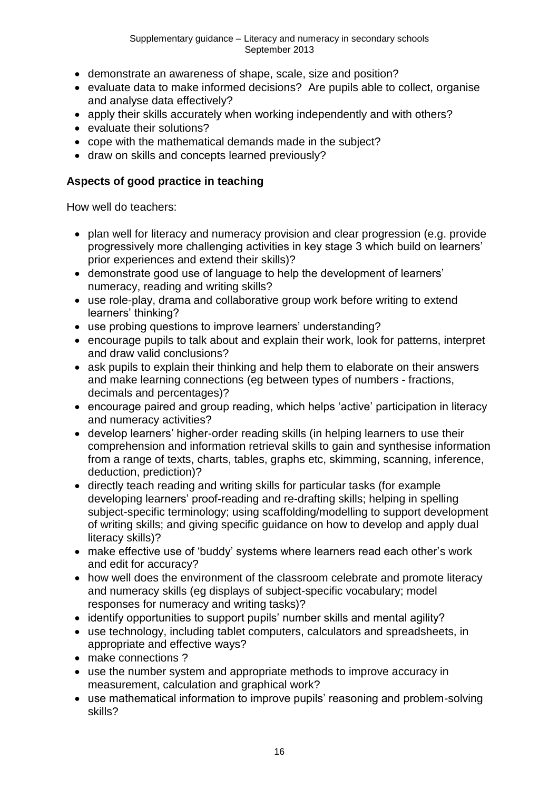- demonstrate an awareness of shape, scale, size and position?
- evaluate data to make informed decisions? Are pupils able to collect, organise and analyse data effectively?
- apply their skills accurately when working independently and with others?
- evaluate their solutions?
- cope with the mathematical demands made in the subject?
- draw on skills and concepts learned previously?

#### **Aspects of good practice in teaching**

How well do teachers:

- plan well for literacy and numeracy provision and clear progression (e.g. provide progressively more challenging activities in key stage 3 which build on learners' prior experiences and extend their skills)?
- demonstrate good use of language to help the development of learners' numeracy, reading and writing skills?
- use role-play, drama and collaborative group work before writing to extend learners' thinking?
- use probing questions to improve learners' understanding?
- encourage pupils to talk about and explain their work, look for patterns, interpret and draw valid conclusions?
- ask pupils to explain their thinking and help them to elaborate on their answers and make learning connections (eg between types of numbers - fractions, decimals and percentages)?
- encourage paired and group reading, which helps 'active' participation in literacy and numeracy activities?
- develop learners' higher-order reading skills (in helping learners to use their comprehension and information retrieval skills to gain and synthesise information from a range of texts, charts, tables, graphs etc, skimming, scanning, inference, deduction, prediction)?
- directly teach reading and writing skills for particular tasks (for example developing learners' proof-reading and re-drafting skills; helping in spelling subject-specific terminology; using scaffolding/modelling to support development of writing skills; and giving specific guidance on how to develop and apply dual literacy skills)?
- make effective use of 'buddy' systems where learners read each other's work and edit for accuracy?
- how well does the environment of the classroom celebrate and promote literacy and numeracy skills (eg displays of subject-specific vocabulary; model responses for numeracy and writing tasks)?
- identify opportunities to support pupils' number skills and mental agility?
- use technology, including tablet computers, calculators and spreadsheets, in appropriate and effective ways?
- make connections?
- use the number system and appropriate methods to improve accuracy in measurement, calculation and graphical work?
- use mathematical information to improve pupils' reasoning and problem-solving skills?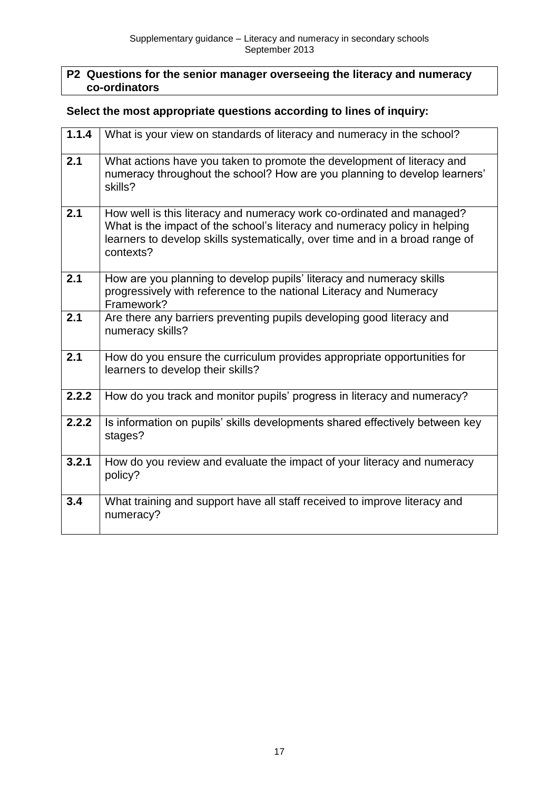#### **P2 Questions for the senior manager overseeing the literacy and numeracy co-ordinators**

#### **Select the most appropriate questions according to lines of inquiry:**

| 1.1.4 | What is your view on standards of literacy and numeracy in the school?                                                                                                                                                                           |
|-------|--------------------------------------------------------------------------------------------------------------------------------------------------------------------------------------------------------------------------------------------------|
| 2.1   | What actions have you taken to promote the development of literacy and<br>numeracy throughout the school? How are you planning to develop learners'<br>skills?                                                                                   |
| 2.1   | How well is this literacy and numeracy work co-ordinated and managed?<br>What is the impact of the school's literacy and numeracy policy in helping<br>learners to develop skills systematically, over time and in a broad range of<br>contexts? |
| 2.1   | How are you planning to develop pupils' literacy and numeracy skills<br>progressively with reference to the national Literacy and Numeracy<br>Framework?                                                                                         |
| 2.1   | Are there any barriers preventing pupils developing good literacy and<br>numeracy skills?                                                                                                                                                        |
| 2.1   | How do you ensure the curriculum provides appropriate opportunities for<br>learners to develop their skills?                                                                                                                                     |
| 2.2.2 | How do you track and monitor pupils' progress in literacy and numeracy?                                                                                                                                                                          |
| 2.2.2 | Is information on pupils' skills developments shared effectively between key<br>stages?                                                                                                                                                          |
| 3.2.1 | How do you review and evaluate the impact of your literacy and numeracy<br>policy?                                                                                                                                                               |
| 3.4   | What training and support have all staff received to improve literacy and<br>numeracy?                                                                                                                                                           |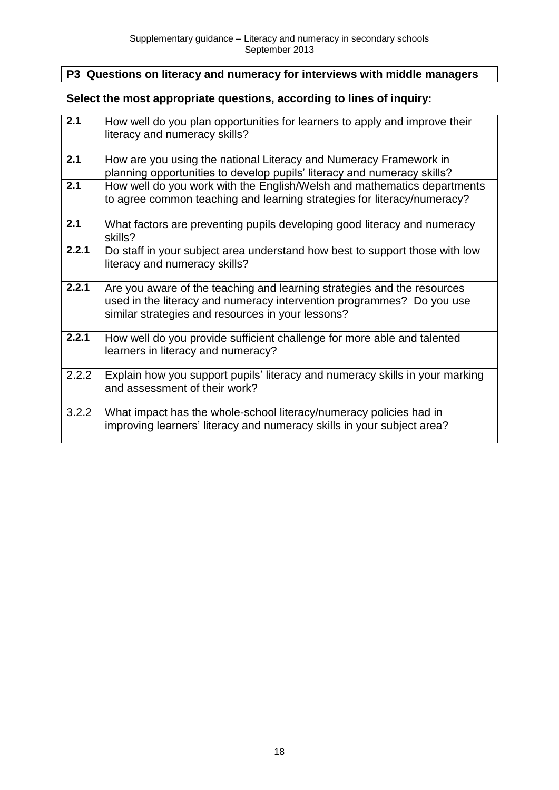## **P3 Questions on literacy and numeracy for interviews with middle managers**

## **Select the most appropriate questions, according to lines of inquiry:**

| 2.1              | How well do you plan opportunities for learners to apply and improve their<br>literacy and numeracy skills?                                                                                           |
|------------------|-------------------------------------------------------------------------------------------------------------------------------------------------------------------------------------------------------|
| 2.1              | How are you using the national Literacy and Numeracy Framework in<br>planning opportunities to develop pupils' literacy and numeracy skills?                                                          |
| $\overline{2.1}$ | How well do you work with the English/Welsh and mathematics departments<br>to agree common teaching and learning strategies for literacy/numeracy?                                                    |
| 2.1              | What factors are preventing pupils developing good literacy and numeracy<br>skills?                                                                                                                   |
| 2.2.1            | Do staff in your subject area understand how best to support those with low<br>literacy and numeracy skills?                                                                                          |
| 2.2.1            | Are you aware of the teaching and learning strategies and the resources<br>used in the literacy and numeracy intervention programmes? Do you use<br>similar strategies and resources in your lessons? |
| 2.2.1            | How well do you provide sufficient challenge for more able and talented<br>learners in literacy and numeracy?                                                                                         |
| 2.2.2            | Explain how you support pupils' literacy and numeracy skills in your marking<br>and assessment of their work?                                                                                         |
| 3.2.2            | What impact has the whole-school literacy/numeracy policies had in<br>improving learners' literacy and numeracy skills in your subject area?                                                          |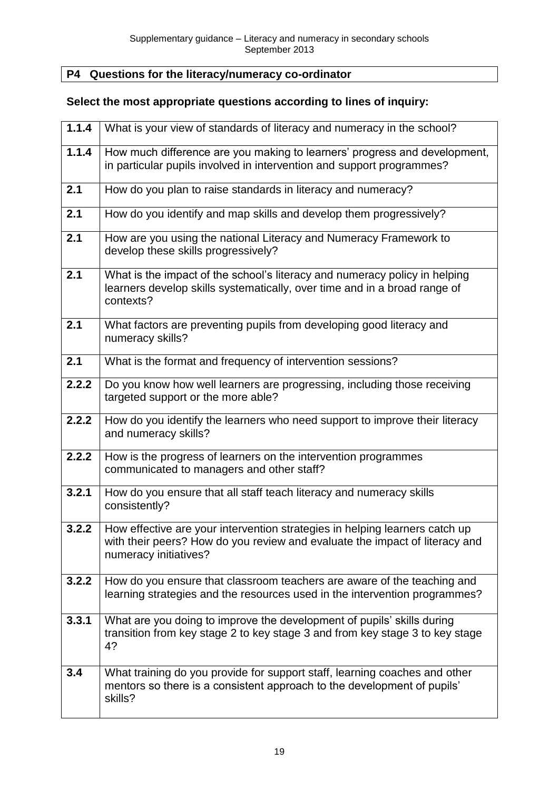## **P4 Questions for the literacy/numeracy co-ordinator**

## **Select the most appropriate questions according to lines of inquiry:**

| 1.1.4 | What is your view of standards of literacy and numeracy in the school?                                                                                                              |
|-------|-------------------------------------------------------------------------------------------------------------------------------------------------------------------------------------|
| 1.1.4 | How much difference are you making to learners' progress and development,<br>in particular pupils involved in intervention and support programmes?                                  |
| 2.1   | How do you plan to raise standards in literacy and numeracy?                                                                                                                        |
| 2.1   | How do you identify and map skills and develop them progressively?                                                                                                                  |
| 2.1   | How are you using the national Literacy and Numeracy Framework to<br>develop these skills progressively?                                                                            |
| 2.1   | What is the impact of the school's literacy and numeracy policy in helping<br>learners develop skills systematically, over time and in a broad range of<br>contexts?                |
| 2.1   | What factors are preventing pupils from developing good literacy and<br>numeracy skills?                                                                                            |
| 2.1   | What is the format and frequency of intervention sessions?                                                                                                                          |
| 2.2.2 | Do you know how well learners are progressing, including those receiving<br>targeted support or the more able?                                                                      |
| 2.2.2 | How do you identify the learners who need support to improve their literacy<br>and numeracy skills?                                                                                 |
| 2.2.2 | How is the progress of learners on the intervention programmes<br>communicated to managers and other staff?                                                                         |
| 3.2.1 | How do you ensure that all staff teach literacy and numeracy skills<br>consistently?                                                                                                |
| 3.2.2 | How effective are your intervention strategies in helping learners catch up<br>with their peers? How do you review and evaluate the impact of literacy and<br>numeracy initiatives? |
| 3.2.2 | How do you ensure that classroom teachers are aware of the teaching and<br>learning strategies and the resources used in the intervention programmes?                               |
| 3.3.1 | What are you doing to improve the development of pupils' skills during<br>transition from key stage 2 to key stage 3 and from key stage 3 to key stage<br>4?                        |
| 3.4   | What training do you provide for support staff, learning coaches and other<br>mentors so there is a consistent approach to the development of pupils'<br>skills?                    |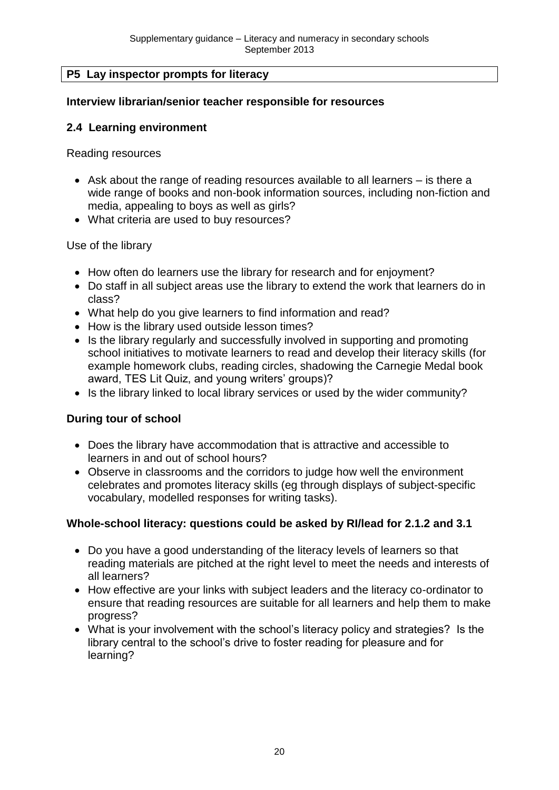#### **P5 Lay inspector prompts for literacy**

#### **Interview librarian/senior teacher responsible for resources**

#### **2.4 Learning environment**

Reading resources

- Ask about the range of reading resources available to all learners is there a wide range of books and non-book information sources, including non-fiction and media, appealing to boys as well as girls?
- What criteria are used to buy resources?

Use of the library

- How often do learners use the library for research and for enjoyment?
- Do staff in all subject areas use the library to extend the work that learners do in class?
- What help do you give learners to find information and read?
- How is the library used outside lesson times?
- Is the library regularly and successfully involved in supporting and promoting school initiatives to motivate learners to read and develop their literacy skills (for example homework clubs, reading circles, shadowing the Carnegie Medal book award, TES Lit Quiz, and young writers' groups)?
- Is the library linked to local library services or used by the wider community?

#### **During tour of school**

- Does the library have accommodation that is attractive and accessible to learners in and out of school hours?
- Observe in classrooms and the corridors to judge how well the environment celebrates and promotes literacy skills (eg through displays of subject-specific vocabulary, modelled responses for writing tasks).

#### **Whole-school literacy: questions could be asked by RI/lead for 2.1.2 and 3.1**

- Do you have a good understanding of the literacy levels of learners so that reading materials are pitched at the right level to meet the needs and interests of all learners?
- How effective are your links with subiect leaders and the literacy co-ordinator to ensure that reading resources are suitable for all learners and help them to make progress?
- What is your involvement with the school's literacy policy and strategies? Is the library central to the school's drive to foster reading for pleasure and for learning?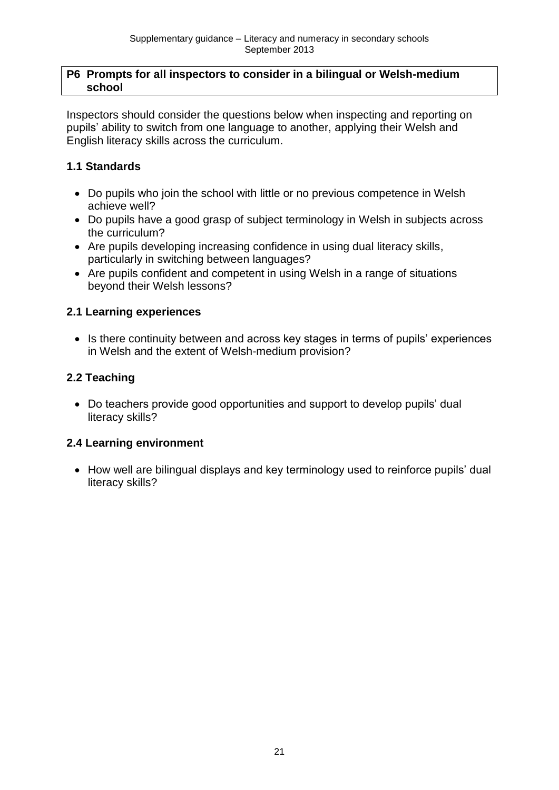#### **P6 Prompts for all inspectors to consider in a bilingual or Welsh-medium school**

Inspectors should consider the questions below when inspecting and reporting on pupils' ability to switch from one language to another, applying their Welsh and English literacy skills across the curriculum.

## **1.1 Standards**

- Do pupils who join the school with little or no previous competence in Welsh achieve well?
- Do pupils have a good grasp of subject terminology in Welsh in subjects across the curriculum?
- Are pupils developing increasing confidence in using dual literacy skills, particularly in switching between languages?
- Are pupils confident and competent in using Welsh in a range of situations beyond their Welsh lessons?

#### **2.1 Learning experiences**

• Is there continuity between and across key stages in terms of pupils' experiences in Welsh and the extent of Welsh-medium provision?

## **2.2 Teaching**

• Do teachers provide good opportunities and support to develop pupils' dual literacy skills?

## **2.4 Learning environment**

• How well are bilingual displays and key terminology used to reinforce pupils' dual literacy skills?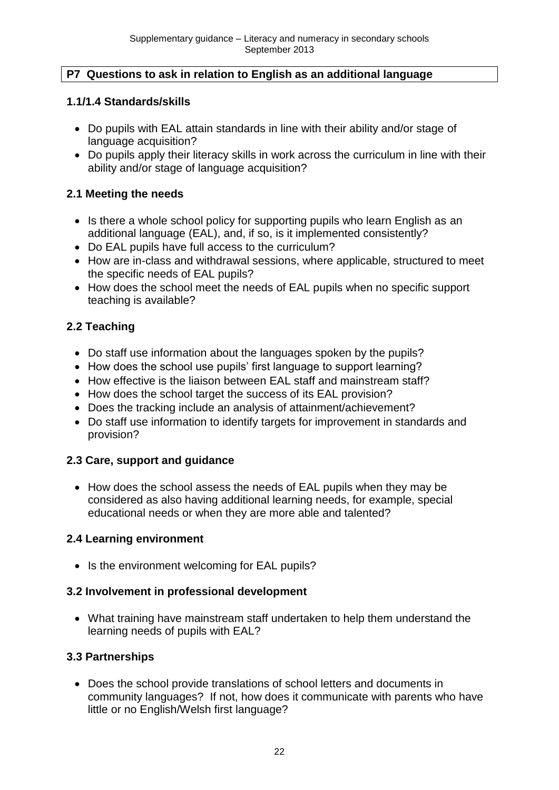#### **P7 Questions to ask in relation to English as an additional language**

#### **1.1/1.4 Standards/skills**

- Do pupils with EAL attain standards in line with their ability and/or stage of language acquisition?
- Do pupils apply their literacy skills in work across the curriculum in line with their ability and/or stage of language acquisition?

#### **2.1 Meeting the needs**

- Is there a whole school policy for supporting pupils who learn English as an additional language (EAL), and, if so, is it implemented consistently?
- Do EAL pupils have full access to the curriculum?
- How are in-class and withdrawal sessions, where applicable, structured to meet the specific needs of EAL pupils?
- How does the school meet the needs of EAL pupils when no specific support teaching is available?

## **2.2 Teaching**

- Do staff use information about the languages spoken by the pupils?
- How does the school use pupils' first language to support learning?
- How effective is the liaison between EAL staff and mainstream staff?
- How does the school target the success of its EAL provision?
- Does the tracking include an analysis of attainment/achievement?
- Do staff use information to identify targets for improvement in standards and provision?

## **2.3 Care, support and guidance**

• How does the school assess the needs of EAL pupils when they may be considered as also having additional learning needs, for example, special educational needs or when they are more able and talented?

## **2.4 Learning environment**

• Is the environment welcoming for EAL pupils?

## **3.2 Involvement in professional development**

 What training have mainstream staff undertaken to help them understand the learning needs of pupils with EAL?

#### **3.3 Partnerships**

 Does the school provide translations of school letters and documents in community languages? If not, how does it communicate with parents who have little or no English/Welsh first language?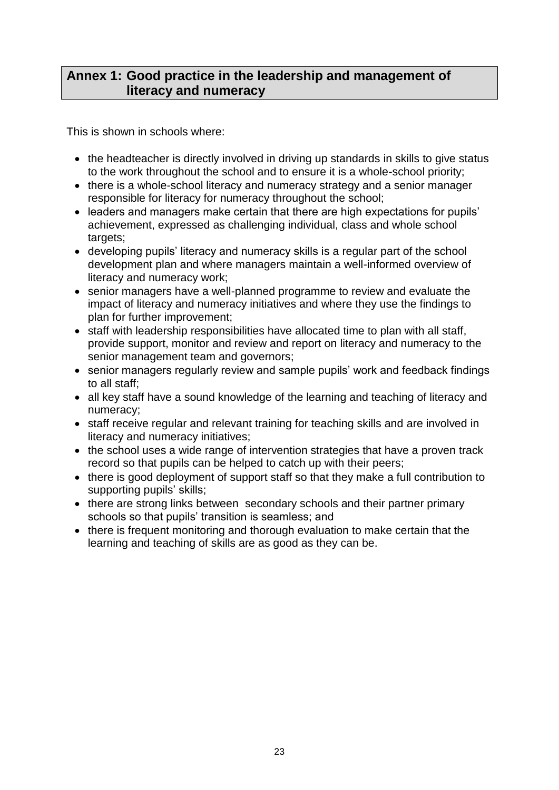## **Annex 1: Good practice in the leadership and management of literacy and numeracy**

This is shown in schools where:

- the headteacher is directly involved in driving up standards in skills to give status to the work throughout the school and to ensure it is a whole-school priority;
- there is a whole-school literacy and numeracy strategy and a senior manager responsible for literacy for numeracy throughout the school;
- leaders and managers make certain that there are high expectations for pupils' achievement, expressed as challenging individual, class and whole school targets;
- developing pupils' literacy and numeracy skills is a regular part of the school development plan and where managers maintain a well-informed overview of literacy and numeracy work;
- senior managers have a well-planned programme to review and evaluate the impact of literacy and numeracy initiatives and where they use the findings to plan for further improvement;
- staff with leadership responsibilities have allocated time to plan with all staff, provide support, monitor and review and report on literacy and numeracy to the senior management team and governors;
- senior managers regularly review and sample pupils' work and feedback findings to all staff;
- all key staff have a sound knowledge of the learning and teaching of literacy and numeracy;
- staff receive regular and relevant training for teaching skills and are involved in literacy and numeracy initiatives;
- the school uses a wide range of intervention strategies that have a proven track record so that pupils can be helped to catch up with their peers;
- there is good deployment of support staff so that they make a full contribution to supporting pupils' skills;
- there are strong links between secondary schools and their partner primary schools so that pupils' transition is seamless; and
- there is frequent monitoring and thorough evaluation to make certain that the learning and teaching of skills are as good as they can be.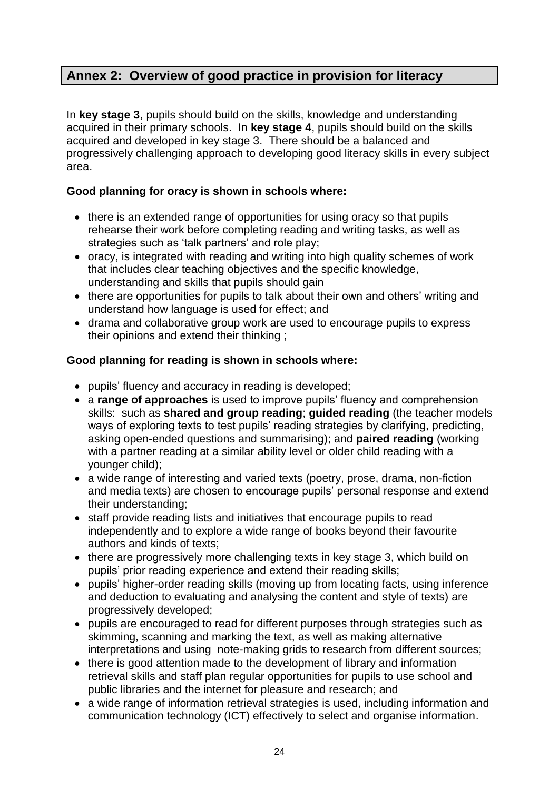## **Annex 2: Overview of good practice in provision for literacy**

In **key stage 3**, pupils should build on the skills, knowledge and understanding acquired in their primary schools. In **key stage 4**, pupils should build on the skills acquired and developed in key stage 3. There should be a balanced and progressively challenging approach to developing good literacy skills in every subject area.

#### **Good planning for oracy is shown in schools where:**

- there is an extended range of opportunities for using oracy so that pupils rehearse their work before completing reading and writing tasks, as well as strategies such as 'talk partners' and role play;
- oracy, is integrated with reading and writing into high quality schemes of work that includes clear teaching objectives and the specific knowledge, understanding and skills that pupils should gain
- there are opportunities for pupils to talk about their own and others' writing and understand how language is used for effect; and
- drama and collaborative group work are used to encourage pupils to express their opinions and extend their thinking ;

#### **Good planning for reading is shown in schools where:**

- pupils' fluency and accuracy in reading is developed;
- a **range of approaches** is used to improve pupils' fluency and comprehension skills: such as **shared and group reading**; **guided reading** (the teacher models ways of exploring texts to test pupils' reading strategies by clarifying, predicting, asking open-ended questions and summarising); and **paired reading** (working with a partner reading at a similar ability level or older child reading with a younger child);
- a wide range of interesting and varied texts (poetry, prose, drama, non-fiction and media texts) are chosen to encourage pupils' personal response and extend their understanding;
- staff provide reading lists and initiatives that encourage pupils to read independently and to explore a wide range of books beyond their favourite authors and kinds of texts;
- there are progressively more challenging texts in key stage 3, which build on pupils' prior reading experience and extend their reading skills;
- pupils' higher-order reading skills (moving up from locating facts, using inference and deduction to evaluating and analysing the content and style of texts) are progressively developed;
- pupils are encouraged to read for different purposes through strategies such as skimming, scanning and marking the text, as well as making alternative interpretations and using note-making grids to research from different sources;
- there is good attention made to the development of library and information retrieval skills and staff plan regular opportunities for pupils to use school and public libraries and the internet for pleasure and research; and
- a wide range of information retrieval strategies is used, including information and communication technology (ICT) effectively to select and organise information.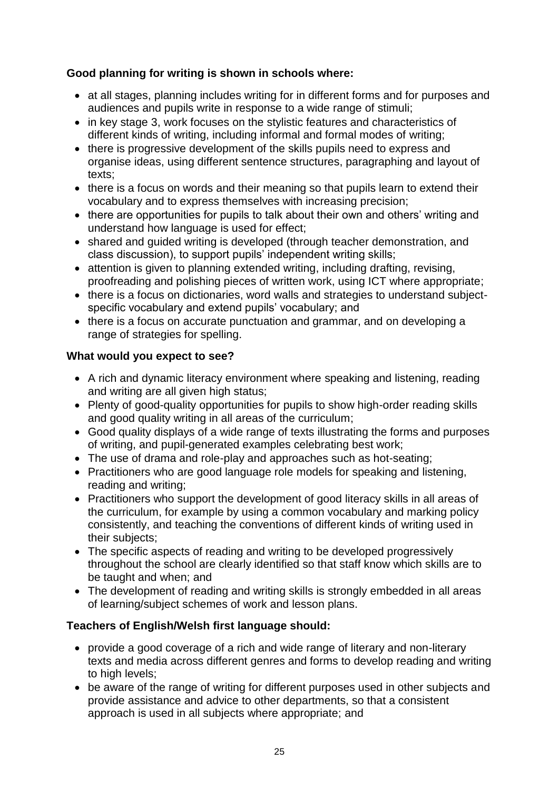#### **Good planning for writing is shown in schools where:**

- at all stages, planning includes writing for in different forms and for purposes and audiences and pupils write in response to a wide range of stimuli;
- in key stage 3, work focuses on the stylistic features and characteristics of different kinds of writing, including informal and formal modes of writing;
- there is progressive development of the skills pupils need to express and organise ideas, using different sentence structures, paragraphing and layout of texts;
- there is a focus on words and their meaning so that pupils learn to extend their vocabulary and to express themselves with increasing precision;
- there are opportunities for pupils to talk about their own and others' writing and understand how language is used for effect;
- shared and guided writing is developed (through teacher demonstration, and class discussion), to support pupils' independent writing skills;
- attention is given to planning extended writing, including drafting, revising, proofreading and polishing pieces of written work, using ICT where appropriate;
- there is a focus on dictionaries, word walls and strategies to understand subjectspecific vocabulary and extend pupils' vocabulary; and
- there is a focus on accurate punctuation and grammar, and on developing a range of strategies for spelling.

#### **What would you expect to see?**

- A rich and dynamic literacy environment where speaking and listening, reading and writing are all given high status;
- Plenty of good-quality opportunities for pupils to show high-order reading skills and good quality writing in all areas of the curriculum;
- Good quality displays of a wide range of texts illustrating the forms and purposes of writing, and pupil-generated examples celebrating best work;
- The use of drama and role-play and approaches such as hot-seating;
- Practitioners who are good language role models for speaking and listening, reading and writing;
- Practitioners who support the development of good literacy skills in all areas of the curriculum, for example by using a common vocabulary and marking policy consistently, and teaching the conventions of different kinds of writing used in their subjects;
- The specific aspects of reading and writing to be developed progressively throughout the school are clearly identified so that staff know which skills are to be taught and when; and
- The development of reading and writing skills is strongly embedded in all areas of learning/subject schemes of work and lesson plans.

#### **Teachers of English/Welsh first language should:**

- provide a good coverage of a rich and wide range of literary and non-literary texts and media across different genres and forms to develop reading and writing to high levels;
- be aware of the range of writing for different purposes used in other subjects and provide assistance and advice to other departments, so that a consistent approach is used in all subjects where appropriate; and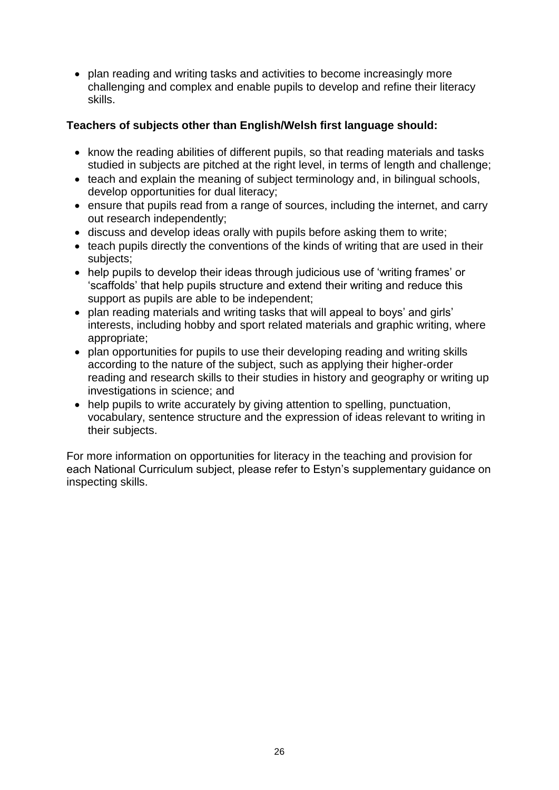• plan reading and writing tasks and activities to become increasingly more challenging and complex and enable pupils to develop and refine their literacy skills.

#### **Teachers of subjects other than English/Welsh first language should:**

- know the reading abilities of different pupils, so that reading materials and tasks studied in subjects are pitched at the right level, in terms of length and challenge;
- teach and explain the meaning of subject terminology and, in bilingual schools, develop opportunities for dual literacy;
- ensure that pupils read from a range of sources, including the internet, and carry out research independently;
- discuss and develop ideas orally with pupils before asking them to write;
- teach pupils directly the conventions of the kinds of writing that are used in their subjects;
- help pupils to develop their ideas through judicious use of 'writing frames' or 'scaffolds' that help pupils structure and extend their writing and reduce this support as pupils are able to be independent;
- plan reading materials and writing tasks that will appeal to boys' and girls' interests, including hobby and sport related materials and graphic writing, where appropriate;
- plan opportunities for pupils to use their developing reading and writing skills according to the nature of the subject, such as applying their higher-order reading and research skills to their studies in history and geography or writing up investigations in science; and
- help pupils to write accurately by giving attention to spelling, punctuation, vocabulary, sentence structure and the expression of ideas relevant to writing in their subjects.

For more information on opportunities for literacy in the teaching and provision for each National Curriculum subject, please refer to Estyn's supplementary guidance on inspecting skills.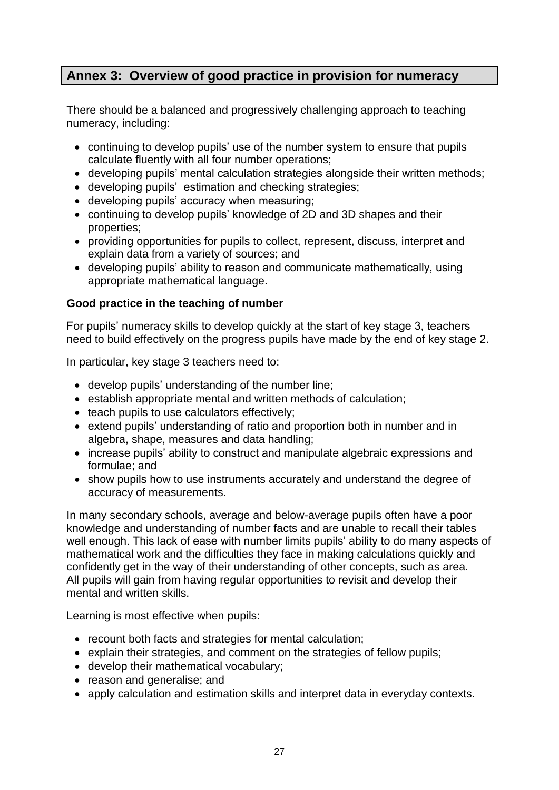## **Annex 3: Overview of good practice in provision for numeracy**

There should be a balanced and progressively challenging approach to teaching numeracy, including:

- continuing to develop pupils' use of the number system to ensure that pupils calculate fluently with all four number operations;
- developing pupils' mental calculation strategies alongside their written methods;
- developing pupils' estimation and checking strategies;
- developing pupils' accuracy when measuring;
- continuing to develop pupils' knowledge of 2D and 3D shapes and their properties;
- providing opportunities for pupils to collect, represent, discuss, interpret and explain data from a variety of sources; and
- developing pupils' ability to reason and communicate mathematically, using appropriate mathematical language.

#### **Good practice in the teaching of number**

For pupils' numeracy skills to develop quickly at the start of key stage 3, teachers need to build effectively on the progress pupils have made by the end of key stage 2.

In particular, key stage 3 teachers need to:

- develop pupils' understanding of the number line;
- establish appropriate mental and written methods of calculation;
- teach pupils to use calculators effectively;
- extend pupils' understanding of ratio and proportion both in number and in algebra, shape, measures and data handling;
- increase pupils' ability to construct and manipulate algebraic expressions and formulae; and
- show pupils how to use instruments accurately and understand the degree of accuracy of measurements.

In many secondary schools, average and below-average pupils often have a poor knowledge and understanding of number facts and are unable to recall their tables well enough. This lack of ease with number limits pupils' ability to do many aspects of mathematical work and the difficulties they face in making calculations quickly and confidently get in the way of their understanding of other concepts, such as area. All pupils will gain from having regular opportunities to revisit and develop their mental and written skills.

Learning is most effective when pupils:

- recount both facts and strategies for mental calculation;
- explain their strategies, and comment on the strategies of fellow pupils:
- develop their mathematical vocabulary;
- reason and generalise; and
- apply calculation and estimation skills and interpret data in everyday contexts.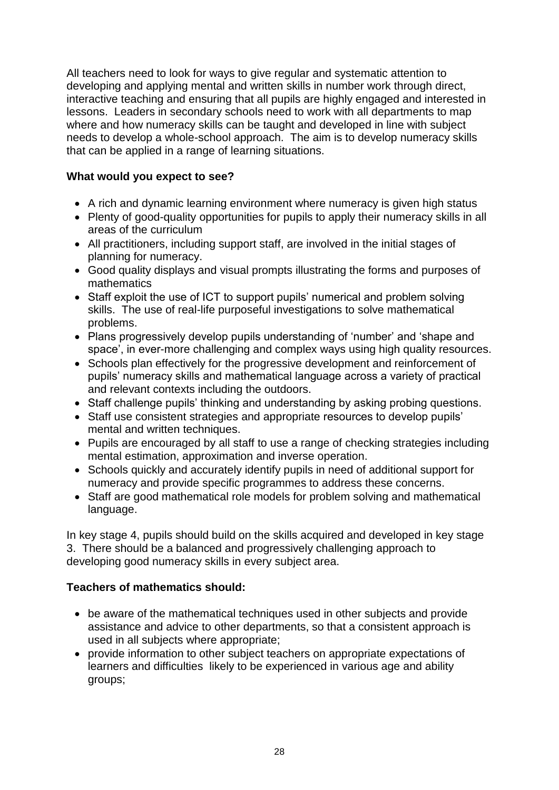All teachers need to look for ways to give regular and systematic attention to developing and applying mental and written skills in number work through direct, interactive teaching and ensuring that all pupils are highly engaged and interested in lessons. Leaders in secondary schools need to work with all departments to map where and how numeracy skills can be taught and developed in line with subject needs to develop a whole-school approach. The aim is to develop numeracy skills that can be applied in a range of learning situations.

#### **What would you expect to see?**

- A rich and dynamic learning environment where numeracy is given high status
- Plenty of good-quality opportunities for pupils to apply their numeracy skills in all areas of the curriculum
- All practitioners, including support staff, are involved in the initial stages of planning for numeracy.
- Good quality displays and visual prompts illustrating the forms and purposes of mathematics
- Staff exploit the use of ICT to support pupils' numerical and problem solving skills. The use of real-life purposeful investigations to solve mathematical problems.
- Plans progressively develop pupils understanding of 'number' and 'shape and space', in ever-more challenging and complex ways using high quality resources.
- Schools plan effectively for the progressive development and reinforcement of pupils' numeracy skills and mathematical language across a variety of practical and relevant contexts including the outdoors.
- Staff challenge pupils' thinking and understanding by asking probing questions.
- Staff use consistent strategies and appropriate resources to develop pupils' mental and written techniques.
- Pupils are encouraged by all staff to use a range of checking strategies including mental estimation, approximation and inverse operation.
- Schools quickly and accurately identify pupils in need of additional support for numeracy and provide specific programmes to address these concerns.
- Staff are good mathematical role models for problem solving and mathematical language.

In key stage 4, pupils should build on the skills acquired and developed in key stage 3. There should be a balanced and progressively challenging approach to developing good numeracy skills in every subject area.

## **Teachers of mathematics should:**

- be aware of the mathematical techniques used in other subjects and provide assistance and advice to other departments, so that a consistent approach is used in all subjects where appropriate;
- provide information to other subject teachers on appropriate expectations of learners and difficulties likely to be experienced in various age and ability groups;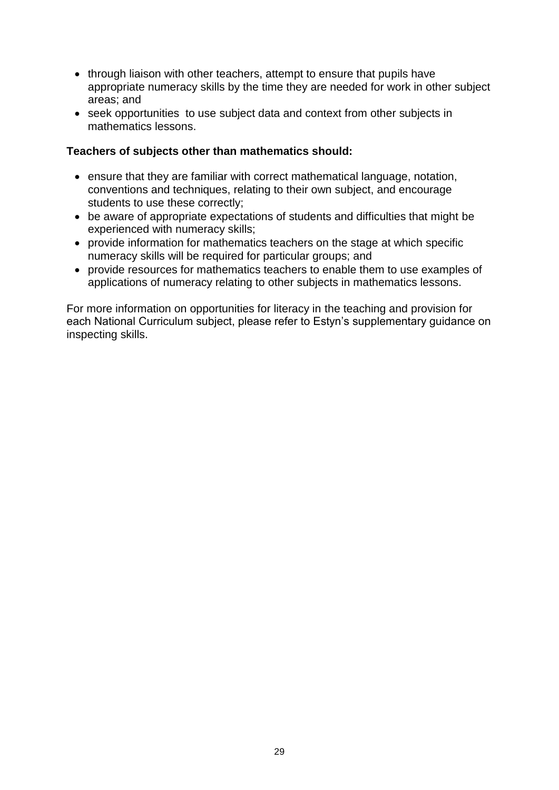- through liaison with other teachers, attempt to ensure that pupils have appropriate numeracy skills by the time they are needed for work in other subject areas; and
- seek opportunities to use subject data and context from other subjects in mathematics lessons.

#### **Teachers of subjects other than mathematics should:**

- ensure that they are familiar with correct mathematical language, notation, conventions and techniques, relating to their own subject, and encourage students to use these correctly;
- be aware of appropriate expectations of students and difficulties that might be experienced with numeracy skills;
- provide information for mathematics teachers on the stage at which specific numeracy skills will be required for particular groups; and
- provide resources for mathematics teachers to enable them to use examples of applications of numeracy relating to other subjects in mathematics lessons.

For more information on opportunities for literacy in the teaching and provision for each National Curriculum subject, please refer to Estyn's supplementary guidance on inspecting skills.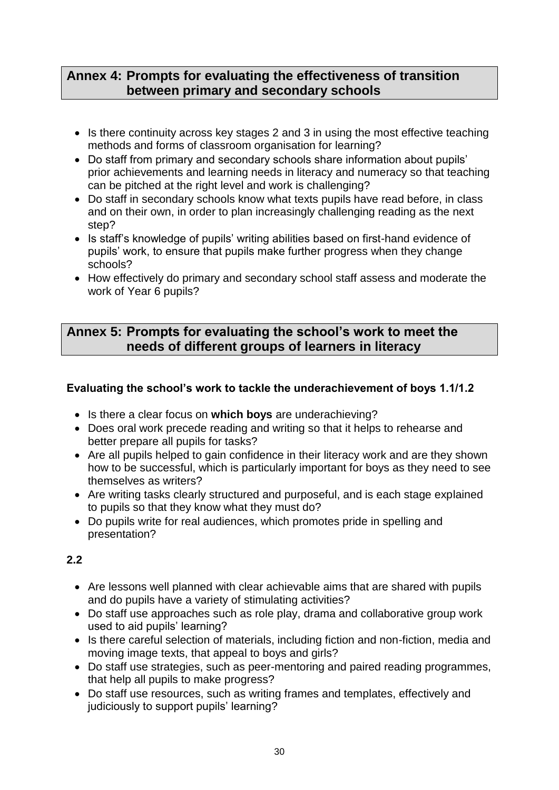## **Annex 4: Prompts for evaluating the effectiveness of transition between primary and secondary schools**

- Is there continuity across key stages 2 and 3 in using the most effective teaching methods and forms of classroom organisation for learning?
- Do staff from primary and secondary schools share information about pupils' prior achievements and learning needs in literacy and numeracy so that teaching can be pitched at the right level and work is challenging?
- Do staff in secondary schools know what texts pupils have read before, in class and on their own, in order to plan increasingly challenging reading as the next step?
- Is staff's knowledge of pupils' writing abilities based on first-hand evidence of pupils' work, to ensure that pupils make further progress when they change schools?
- How effectively do primary and secondary school staff assess and moderate the work of Year 6 pupils?

## **Annex 5: Prompts for evaluating the school's work to meet the needs of different groups of learners in literacy**

#### **Evaluating the school's work to tackle the underachievement of boys 1.1/1.2**

- Is there a clear focus on **which boys** are underachieving?
- Does oral work precede reading and writing so that it helps to rehearse and better prepare all pupils for tasks?
- Are all pupils helped to gain confidence in their literacy work and are they shown how to be successful, which is particularly important for boys as they need to see themselves as writers?
- Are writing tasks clearly structured and purposeful, and is each stage explained to pupils so that they know what they must do?
- Do pupils write for real audiences, which promotes pride in spelling and presentation?

## **2.2**

- Are lessons well planned with clear achievable aims that are shared with pupils and do pupils have a variety of stimulating activities?
- Do staff use approaches such as role play, drama and collaborative group work used to aid pupils' learning?
- Is there careful selection of materials, including fiction and non-fiction, media and moving image texts, that appeal to boys and girls?
- Do staff use strategies, such as peer-mentoring and paired reading programmes, that help all pupils to make progress?
- Do staff use resources, such as writing frames and templates, effectively and judiciously to support pupils' learning?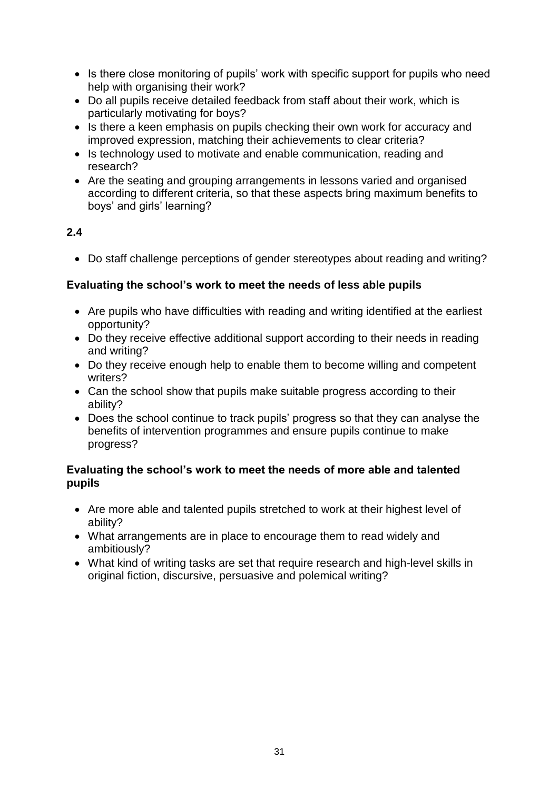- Is there close monitoring of pupils' work with specific support for pupils who need help with organising their work?
- Do all pupils receive detailed feedback from staff about their work, which is particularly motivating for boys?
- Is there a keen emphasis on pupils checking their own work for accuracy and improved expression, matching their achievements to clear criteria?
- Is technology used to motivate and enable communication, reading and research?
- Are the seating and grouping arrangements in lessons varied and organised according to different criteria, so that these aspects bring maximum benefits to boys' and girls' learning?

## **2.4**

Do staff challenge perceptions of gender stereotypes about reading and writing?

#### **Evaluating the school's work to meet the needs of less able pupils**

- Are pupils who have difficulties with reading and writing identified at the earliest opportunity?
- Do they receive effective additional support according to their needs in reading and writing?
- Do they receive enough help to enable them to become willing and competent writers?
- Can the school show that pupils make suitable progress according to their ability?
- Does the school continue to track pupils' progress so that they can analyse the benefits of intervention programmes and ensure pupils continue to make progress?

#### **Evaluating the school's work to meet the needs of more able and talented pupils**

- Are more able and talented pupils stretched to work at their highest level of ability?
- What arrangements are in place to encourage them to read widely and ambitiously?
- What kind of writing tasks are set that require research and high-level skills in original fiction, discursive, persuasive and polemical writing?